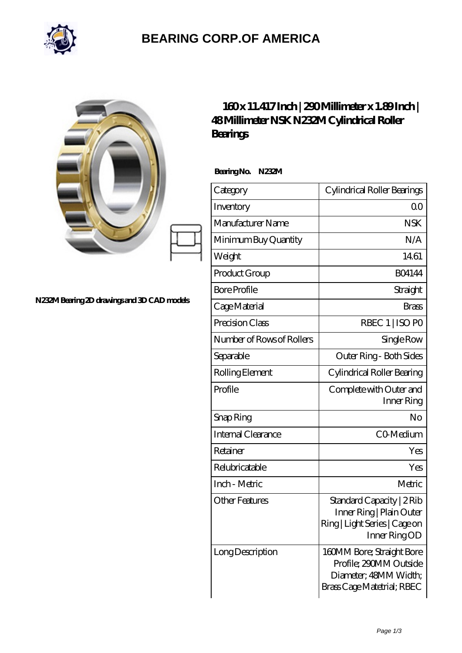

## **[BEARING CORP.OF AMERICA](https://bluemondayreview.com)**

| N232M Bearing 2D drawings and 3D CAD models | $160x11.417$ Inch $ 200$ Millimeter x 1.89Inch $ $<br>48Millimeter NSK N232M Cylindrical Roller<br>Bearings |                                                                                                            |
|---------------------------------------------|-------------------------------------------------------------------------------------------------------------|------------------------------------------------------------------------------------------------------------|
|                                             | Bearing No. N232M                                                                                           |                                                                                                            |
|                                             | Category                                                                                                    | Cylindrical Roller Bearings                                                                                |
|                                             | Inventory                                                                                                   | 0 <sub>0</sub>                                                                                             |
|                                             | Manufacturer Name                                                                                           | <b>NSK</b>                                                                                                 |
|                                             | Minimum Buy Quantity                                                                                        | N/A                                                                                                        |
|                                             | Weight                                                                                                      | 1461                                                                                                       |
|                                             | Product Group                                                                                               | <b>BO4144</b>                                                                                              |
|                                             | <b>Bore Profile</b>                                                                                         | Straight                                                                                                   |
|                                             | Cage Material                                                                                               | <b>Brass</b>                                                                                               |
|                                             | Precision Class                                                                                             | RBEC 1   ISO PO                                                                                            |
|                                             | Number of Rows of Rollers                                                                                   | Single Row                                                                                                 |
|                                             | Separable                                                                                                   | Outer Ring - Both Sides                                                                                    |
|                                             | Rolling Element                                                                                             | Cylindrical Roller Bearing                                                                                 |
|                                             | Profile                                                                                                     | Complete with Outer and<br>Inner Ring                                                                      |
|                                             | Snap Ring                                                                                                   | No                                                                                                         |
|                                             | <b>Internal Clearance</b>                                                                                   | CO-Medium                                                                                                  |
|                                             | Retainer                                                                                                    | Yes                                                                                                        |
|                                             | Relubricatable                                                                                              | Yes                                                                                                        |
|                                             | Inch - Metric                                                                                               | Metric                                                                                                     |
|                                             | <b>Other Features</b>                                                                                       | Standard Capacity   2 Rib<br>Inner Ring   Plain Outer<br>Ring   Light Series   Cage on<br>Inner RingOD     |
|                                             | Long Description                                                                                            | 160MM Bore; Straight Bore<br>Profile; 290MM Outside<br>Diameter; 48MM Width;<br>Brass Cage Matetrial; RBEC |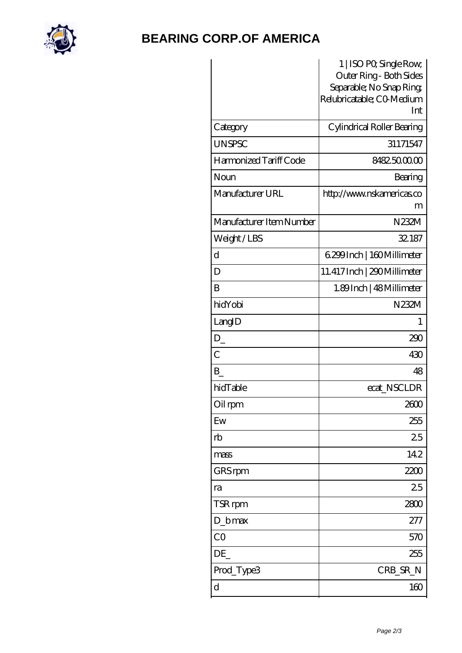

## **[BEARING CORP.OF AMERICA](https://bluemondayreview.com)**

|                          | 1   ISO PO, Single Row,<br>Outer Ring - Both Sides |
|--------------------------|----------------------------------------------------|
|                          | Separable; No Snap Ring,                           |
|                          | Relubricatable; CO-Medium                          |
|                          | Int                                                |
| Category                 | Cylindrical Roller Bearing                         |
| <b>UNSPSC</b>            | 31171547                                           |
| Harmonized Tariff Code   | 8482500000                                         |
| Noun                     | Bearing                                            |
| Manufacturer URL         | http://www.nskamericas.co                          |
|                          | m                                                  |
| Manufacturer Item Number | N232M                                              |
| Weight/LBS               | 32.187                                             |
| d                        | 6.299 Inch   160 Millimeter                        |
| D                        | 11.417 Inch   290 Millimeter                       |
| B                        | 1.89Inch   48 Millimeter                           |
| hidYobi                  | N232M                                              |
| LangID                   | 1                                                  |
| $D_{-}$                  | 290                                                |
| $\overline{C}$           | 430                                                |
| B                        | 48                                                 |
| hidTable                 | ecat_NSCLDR                                        |
| Oil rpm                  | 2600                                               |
| Ew                       | 255                                                |
| rb                       | 25                                                 |
| mass                     | 142                                                |
| GRS rpm                  | 2200                                               |
| ra                       | 25                                                 |
| TSR rpm                  | 2800                                               |
| $D_b$ max                | 277                                                |
| CO                       | 570                                                |
| DE                       | 255                                                |
| Prod_Type3               | CRB_SR_N                                           |
| $\mathbf d$              | 160                                                |
|                          |                                                    |